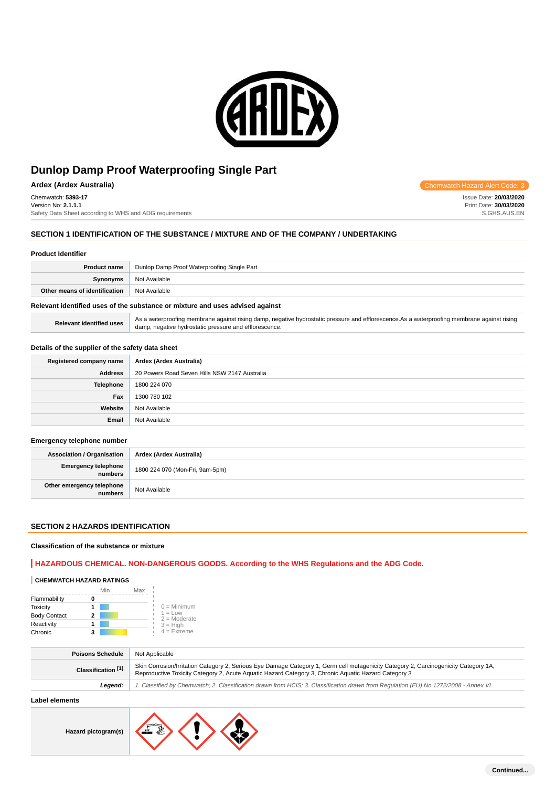

**Ardex (Ardex Australia)** Chemwatch Hazard Alert Code: **3**

Chemwatch: **5393-17** Version No: **2.1.1.1**

Safety Data Sheet according to WHS and ADG requirements

### **SECTION 1 IDENTIFICATION OF THE SUBSTANCE / MIXTURE AND OF THE COMPANY / UNDERTAKING**

#### **Product Identifier**

| <b>Product name</b>                                | Dunlop Damp Proof Waterproofing Single Part |  |
|----------------------------------------------------|---------------------------------------------|--|
| Synonyms                                           | Not Available                               |  |
| <b>Other means of identification</b> Not Available |                                             |  |
|                                                    |                                             |  |

### **Relevant identified uses of the substance or mixture and uses advised against**

| Relevant identified uses | As a waterproofing membrane against rising damp, negative hydrostatic pressure and efflorescence. As a waterproofing membrane against rising |
|--------------------------|----------------------------------------------------------------------------------------------------------------------------------------------|
|                          | damp, negative hydrostatic pressure and efflorescence.                                                                                       |

### **Details of the supplier of the safety data sheet**

| Registered company name | Ardex (Ardex Australia)                       |  |
|-------------------------|-----------------------------------------------|--|
| <b>Address</b>          | 20 Powers Road Seven Hills NSW 2147 Australia |  |
| <b>Telephone</b>        | 1800 224 070                                  |  |
| Fax                     | 1300 780 102                                  |  |
| Website                 | Not Available                                 |  |
| Email                   | Not Available                                 |  |

#### **Emergency telephone number**

| <b>Association / Organisation</b>    | Ardex (Ardex Australia)         |  |
|--------------------------------------|---------------------------------|--|
| Emergency telephone<br>numbers       | 1800 224 070 (Mon-Fri, 9am-5pm) |  |
| Other emergency telephone<br>numbers | Not Available                   |  |

### **SECTION 2 HAZARDS IDENTIFICATION**

### **Classification of the substance or mixture**

### **HAZARDOUS CHEMICAL. NON-DANGEROUS GOODS. According to the WHS Regulations and the ADG Code.**

### **CHEMWATCH HAZARD RATINGS**

|                     | Min | Max |                             |
|---------------------|-----|-----|-----------------------------|
| Flammability        |     |     |                             |
| <b>Toxicity</b>     |     |     | $0 =$ Minimum               |
| <b>Body Contact</b> |     |     | $1 = Low$<br>$2 =$ Moderate |
| Reactivity          |     |     | $3 = High$                  |
| Chronic             | з   |     | $4$ = Extreme               |

| <b>Poisons Schedule</b> | Not Applicable                                                                                                                                                                                                                               |  |
|-------------------------|----------------------------------------------------------------------------------------------------------------------------------------------------------------------------------------------------------------------------------------------|--|
| Classification [1]      | Skin Corrosion/Irritation Category 2, Serious Eye Damage Category 1, Germ cell mutagenicity Category 2, Carcinogenicity Category 1A,<br>Reproductive Toxicity Category 2, Acute Aguatic Hazard Category 3, Chronic Aguatic Hazard Category 3 |  |
| Leaend:                 | 1. Classified by Chemwatch; 2. Classification drawn from HCIS; 3. Classification drawn from Regulation (EU) No 1272/2008 - Annex VI                                                                                                          |  |
|                         |                                                                                                                                                                                                                                              |  |

### **Label elements**

**Hazard pictogram(s)**



Issue Date: **20/03/2020** Print Date: **30/03/2020** S.GHS.AUS.EN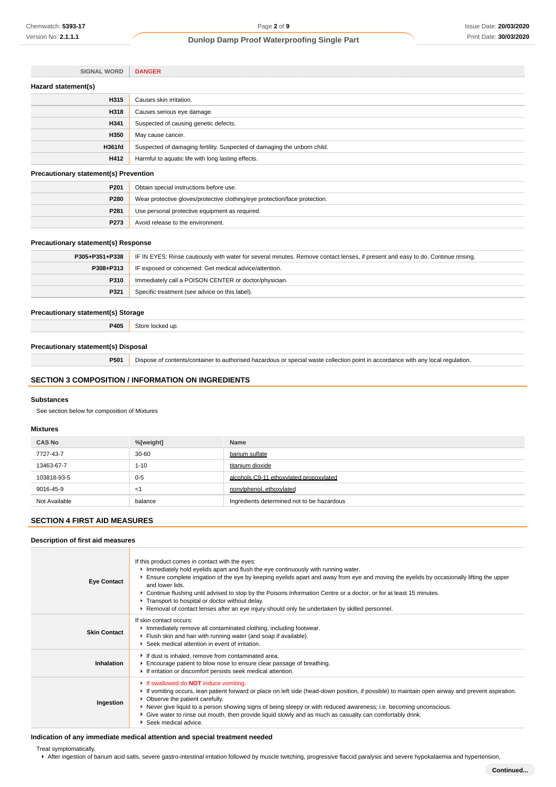| <b>SIGNAL WORD</b>                           | <b>DANGER</b>                                                            |
|----------------------------------------------|--------------------------------------------------------------------------|
| Hazard statement(s)                          |                                                                          |
| H315                                         | Causes skin irritation.                                                  |
| H318                                         | Causes serious eye damage.                                               |
| H341                                         | Suspected of causing genetic defects.                                    |
| H350                                         | May cause cancer.                                                        |
| <b>H361fd</b>                                | Suspected of damaging fertility. Suspected of damaging the unborn child. |
| H412                                         | Harmful to aquatic life with long lasting effects.                       |
| <b>Precautionary statement(s) Prevention</b> |                                                                          |

#### **Precautionary statement(s) Prevention**

| P <sub>201</sub> | Obtain special instructions before use.                                    |  |
|------------------|----------------------------------------------------------------------------|--|
| <b>P280</b>      | Wear protective gloves/protective clothing/eye protection/face protection. |  |
| P <sub>281</sub> | Use personal protective equipment as required.                             |  |
| P <sub>273</sub> | Avoid release to the environment.                                          |  |

### **Precautionary statement(s) Response**

| P305+P351+P338 | IF IN EYES: Rinse cautiously with water for several minutes. Remove contact lenses, if present and easy to do. Continue rinsing. |  |
|----------------|----------------------------------------------------------------------------------------------------------------------------------|--|
| P308+P313      | IF exposed or concerned: Get medical advice/attention.                                                                           |  |
| P310           | Immediately call a POISON CENTER or doctor/physician.                                                                            |  |
| P321           | Specific treatment (see advice on this label).                                                                                   |  |
|                |                                                                                                                                  |  |

### **Precautionary statement(s) Storage**

**P405** Store locked up.

### **Precautionary statement(s) Disposal**

**P501** Dispose of contents/container to authorised hazardous or special waste collection point in accordance with any local regulation.

### **SECTION 3 COMPOSITION / INFORMATION ON INGREDIENTS**

#### **Substances**

See section below for composition of Mixtures

#### **Mixtures**

| <b>CAS No</b> | %[weight] | Name                                       |
|---------------|-----------|--------------------------------------------|
| 7727-43-7     | 30-60     | barium sulfate                             |
| 13463-67-7    | $1 - 10$  | titanium dioxide                           |
| 103818-93-5   | $0 - 5$   | alcohols C9-11 ethoxylated propoxylated    |
| 9016-45-9     | <1        | nonviphenol, ethoxylated                   |
| Not Available | balance   | Ingredients determined not to be hazardous |

# **SECTION 4 FIRST AID MEASURES**

### **Description of first aid measures**

| <b>Eye Contact</b>  | If this product comes in contact with the eyes:<br>Immediately hold eyelids apart and flush the eye continuously with running water.<br>Ensure complete irrigation of the eye by keeping eyelids apart and away from eye and moving the eyelids by occasionally lifting the upper<br>and lower lids.<br>► Continue flushing until advised to stop by the Poisons Information Centre or a doctor, or for at least 15 minutes.<br>Transport to hospital or doctor without delay.<br>Removal of contact lenses after an eye injury should only be undertaken by skilled personnel. |  |
|---------------------|---------------------------------------------------------------------------------------------------------------------------------------------------------------------------------------------------------------------------------------------------------------------------------------------------------------------------------------------------------------------------------------------------------------------------------------------------------------------------------------------------------------------------------------------------------------------------------|--|
| <b>Skin Contact</b> | If skin contact occurs:<br>Inmediately remove all contaminated clothing, including footwear.<br>Flush skin and hair with running water (and soap if available).<br>Seek medical attention in event of irritation.                                                                                                                                                                                                                                                                                                                                                               |  |
| Inhalation          | If dust is inhaled, remove from contaminated area.<br>Encourage patient to blow nose to ensure clear passage of breathing.<br>If irritation or discomfort persists seek medical attention.                                                                                                                                                                                                                                                                                                                                                                                      |  |
| Ingestion           | If swallowed do <b>NOT</b> induce vomiting.<br>► If vomiting occurs, lean patient forward or place on left side (head-down position, if possible) to maintain open airway and prevent aspiration.<br>• Observe the patient carefully.<br>▶ Never give liquid to a person showing signs of being sleepy or with reduced awareness; i.e. becoming unconscious.<br>• Give water to rinse out mouth, then provide liquid slowly and as much as casualty can comfortably drink.<br>▶ Seek medical advice.                                                                            |  |

### **Indication of any immediate medical attention and special treatment needed**

Treat symptomatically.

After ingestion of barium acid salts, severe gastro-intestinal irritation followed by muscle twitching, progressive flaccid paralysis and severe hypokalaemia and hypertension,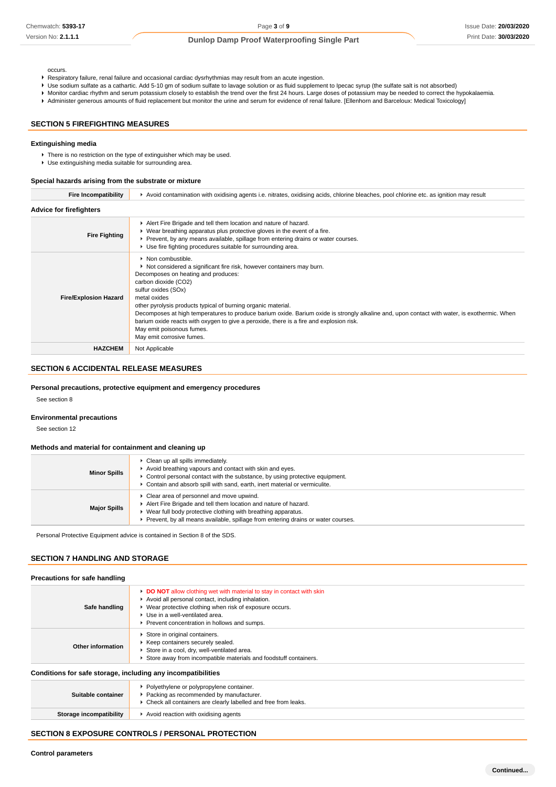occurs.

- Respiratory failure, renal failure and occasional cardiac dysrhythmias may result from an acute ingestion.
- Use sodium sulfate as a cathartic. Add 5-10 gm of sodium sulfate to lavage solution or as fluid supplement to Ipecac syrup (the sulfate salt is not absorbed)
- Monitor cardiac rhythm and serum potassium closely to establish the trend over the first 24 hours. Large doses of potassium may be needed to correct the hypokalaemia.
- Administer generous amounts of fluid replacement but monitor the urine and serum for evidence of renal failure. [Ellenhorn and Barceloux: Medical Toxicology]

### **SECTION 5 FIREFIGHTING MEASURES**

#### **Extinguishing media**

- There is no restriction on the type of extinguisher which may be used.
- Use extinguishing media suitable for surrounding area.

#### **Special hazards arising from the substrate or mixture**

| <b>Fire Incompatibility</b>    | Avoid contamination with oxidising agents i.e. nitrates, oxidising acids, chlorine bleaches, pool chlorine etc. as ignition may result                                                                                                                                                                                                                                                                                                                                                                                                                                   |  |  |
|--------------------------------|--------------------------------------------------------------------------------------------------------------------------------------------------------------------------------------------------------------------------------------------------------------------------------------------------------------------------------------------------------------------------------------------------------------------------------------------------------------------------------------------------------------------------------------------------------------------------|--|--|
| <b>Advice for firefighters</b> |                                                                                                                                                                                                                                                                                                                                                                                                                                                                                                                                                                          |  |  |
| <b>Fire Fighting</b>           | Alert Fire Brigade and tell them location and nature of hazard.<br>▶ Wear breathing apparatus plus protective gloves in the event of a fire.<br>► Prevent, by any means available, spillage from entering drains or water courses.<br>▶ Use fire fighting procedures suitable for surrounding area.                                                                                                                                                                                                                                                                      |  |  |
| <b>Fire/Explosion Hazard</b>   | • Non combustible.<br>▶ Not considered a significant fire risk, however containers may burn.<br>Decomposes on heating and produces:<br>carbon dioxide (CO2)<br>sulfur oxides (SOx)<br>metal oxides<br>other pyrolysis products typical of burning organic material.<br>Decomposes at high temperatures to produce barium oxide. Barium oxide is strongly alkaline and, upon contact with water, is exothermic. When<br>barium oxide reacts with oxygen to give a peroxide, there is a fire and explosion risk.<br>May emit poisonous fumes.<br>May emit corrosive fumes. |  |  |
| <b>HAZCHEM</b>                 | Not Applicable                                                                                                                                                                                                                                                                                                                                                                                                                                                                                                                                                           |  |  |

### **SECTION 6 ACCIDENTAL RELEASE MEASURES**

#### **Personal precautions, protective equipment and emergency procedures**

See section 8

### **Environmental precautions**

See section 12

#### **Methods and material for containment and cleaning up**

| <b>Minor Spills</b> | Clean up all spills immediately.<br>Avoid breathing vapours and contact with skin and eyes.<br>$\blacktriangleright$ Control personal contact with the substance, by using protective equipment.<br>► Contain and absorb spill with sand, earth, inert material or vermiculite. |
|---------------------|---------------------------------------------------------------------------------------------------------------------------------------------------------------------------------------------------------------------------------------------------------------------------------|
| <b>Major Spills</b> | Clear area of personnel and move upwind.<br>Alert Fire Brigade and tell them location and nature of hazard.<br>► Wear full body protective clothing with breathing apparatus.<br>Prevent, by all means available, spillage from entering drains or water courses.               |

Personal Protective Equipment advice is contained in Section 8 of the SDS.

### **SECTION 7 HANDLING AND STORAGE**

#### **Precautions for safe handling Safe handling DO NOT** allow clothing wet with material to stay in contact with skin Avoid all personal contact, including inhalation. Wear protective clothing when risk of exposure occurs. Use in a well-ventilated area. Prevent concentration in hollows and sumps. **Other information** Store in original containers. Keep containers securely sealed. Store in a cool, dry, well-ventilated area. Store away from incompatible materials and foodstuff containers. **Conditions for safe storage, including any incompatibilities**

| Packing as recommended by manufacturer.<br>Suitable container<br>• Check all containers are clearly labelled and free from leaks. | Polyethylene or polypropylene container. |
|-----------------------------------------------------------------------------------------------------------------------------------|------------------------------------------|
| Storage incompatibility<br>Avoid reaction with oxidising agents                                                                   |                                          |

### **SECTION 8 EXPOSURE CONTROLS / PERSONAL PROTECTION**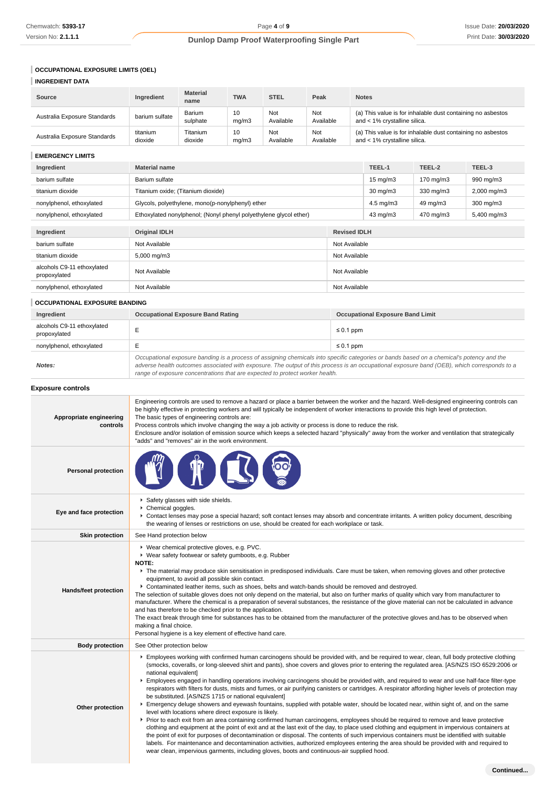# **OCCUPATIONAL EXPOSURE LIMITS (OEL)**

**Other protection**

| <b>INGREDIENT DATA</b>                     |                                                                                                                                                                                                                                                                                                                                                                                                                                                                                                                                                                                                                                                                                                                                                                                                                                                                                                                                                               |                                                                                            |             |                  |                  |                                                                                                                                                                                                                                                                                                                                                                                                                                                                                                                                                            |                                                                                             |             |  |
|--------------------------------------------|---------------------------------------------------------------------------------------------------------------------------------------------------------------------------------------------------------------------------------------------------------------------------------------------------------------------------------------------------------------------------------------------------------------------------------------------------------------------------------------------------------------------------------------------------------------------------------------------------------------------------------------------------------------------------------------------------------------------------------------------------------------------------------------------------------------------------------------------------------------------------------------------------------------------------------------------------------------|--------------------------------------------------------------------------------------------|-------------|------------------|------------------|------------------------------------------------------------------------------------------------------------------------------------------------------------------------------------------------------------------------------------------------------------------------------------------------------------------------------------------------------------------------------------------------------------------------------------------------------------------------------------------------------------------------------------------------------------|---------------------------------------------------------------------------------------------|-------------|--|
| Source                                     | Ingredient                                                                                                                                                                                                                                                                                                                                                                                                                                                                                                                                                                                                                                                                                                                                                                                                                                                                                                                                                    | <b>Material</b><br>name                                                                    | <b>TWA</b>  | <b>STEL</b>      | Peak             | <b>Notes</b>                                                                                                                                                                                                                                                                                                                                                                                                                                                                                                                                               |                                                                                             |             |  |
| Australia Exposure Standards               | barium sulfate                                                                                                                                                                                                                                                                                                                                                                                                                                                                                                                                                                                                                                                                                                                                                                                                                                                                                                                                                | Barium<br>sulphate                                                                         | 10<br>mg/m3 | Not<br>Available | Not<br>Available |                                                                                                                                                                                                                                                                                                                                                                                                                                                                                                                                                            | (a) This value is for inhalable dust containing no asbestos<br>and < 1% crystalline silica. |             |  |
| Australia Exposure Standards               | titanium<br>dioxide                                                                                                                                                                                                                                                                                                                                                                                                                                                                                                                                                                                                                                                                                                                                                                                                                                                                                                                                           | Titanium<br>dioxide                                                                        | 10<br>mg/m3 | Not<br>Available | Not<br>Available |                                                                                                                                                                                                                                                                                                                                                                                                                                                                                                                                                            | (a) This value is for inhalable dust containing no asbestos<br>and < 1% crystalline silica. |             |  |
| <b>EMERGENCY LIMITS</b>                    |                                                                                                                                                                                                                                                                                                                                                                                                                                                                                                                                                                                                                                                                                                                                                                                                                                                                                                                                                               |                                                                                            |             |                  |                  |                                                                                                                                                                                                                                                                                                                                                                                                                                                                                                                                                            |                                                                                             |             |  |
| Ingredient                                 | <b>Material name</b>                                                                                                                                                                                                                                                                                                                                                                                                                                                                                                                                                                                                                                                                                                                                                                                                                                                                                                                                          |                                                                                            |             |                  |                  | TEEL-1                                                                                                                                                                                                                                                                                                                                                                                                                                                                                                                                                     | TEEL-2                                                                                      | TEEL-3      |  |
| barium sulfate                             | Barium sulfate                                                                                                                                                                                                                                                                                                                                                                                                                                                                                                                                                                                                                                                                                                                                                                                                                                                                                                                                                |                                                                                            |             |                  |                  | 15 mg/m $3$                                                                                                                                                                                                                                                                                                                                                                                                                                                                                                                                                | 170 mg/m3                                                                                   | 990 mg/m3   |  |
| titanium dioxide                           | Titanium oxide; (Titanium dioxide)                                                                                                                                                                                                                                                                                                                                                                                                                                                                                                                                                                                                                                                                                                                                                                                                                                                                                                                            |                                                                                            |             |                  |                  | 30 mg/m3                                                                                                                                                                                                                                                                                                                                                                                                                                                                                                                                                   | 330 mg/m3                                                                                   | 2,000 mg/m3 |  |
| nonylphenol, ethoxylated                   |                                                                                                                                                                                                                                                                                                                                                                                                                                                                                                                                                                                                                                                                                                                                                                                                                                                                                                                                                               | 4.5 mg/m $3$<br>49 mg/m3<br>Glycols, polyethylene, mono(p-nonylphenyl) ether               |             |                  |                  |                                                                                                                                                                                                                                                                                                                                                                                                                                                                                                                                                            | 300 mg/m3                                                                                   |             |  |
| nonylphenol, ethoxylated                   |                                                                                                                                                                                                                                                                                                                                                                                                                                                                                                                                                                                                                                                                                                                                                                                                                                                                                                                                                               | Ethoxylated nonylphenol; (Nonyl phenyl polyethylene glycol ether)<br>43 mg/m3<br>470 mg/m3 |             |                  |                  |                                                                                                                                                                                                                                                                                                                                                                                                                                                                                                                                                            | 5,400 mg/m3                                                                                 |             |  |
| Ingredient                                 | <b>Original IDLH</b>                                                                                                                                                                                                                                                                                                                                                                                                                                                                                                                                                                                                                                                                                                                                                                                                                                                                                                                                          |                                                                                            |             |                  |                  | <b>Revised IDLH</b>                                                                                                                                                                                                                                                                                                                                                                                                                                                                                                                                        |                                                                                             |             |  |
| barium sulfate                             | Not Available                                                                                                                                                                                                                                                                                                                                                                                                                                                                                                                                                                                                                                                                                                                                                                                                                                                                                                                                                 |                                                                                            |             |                  |                  | Not Available                                                                                                                                                                                                                                                                                                                                                                                                                                                                                                                                              |                                                                                             |             |  |
| titanium dioxide                           | 5,000 mg/m3                                                                                                                                                                                                                                                                                                                                                                                                                                                                                                                                                                                                                                                                                                                                                                                                                                                                                                                                                   |                                                                                            |             |                  |                  | Not Available                                                                                                                                                                                                                                                                                                                                                                                                                                                                                                                                              |                                                                                             |             |  |
| alcohols C9-11 ethoxylated<br>propoxylated | Not Available                                                                                                                                                                                                                                                                                                                                                                                                                                                                                                                                                                                                                                                                                                                                                                                                                                                                                                                                                 |                                                                                            |             |                  |                  | Not Available                                                                                                                                                                                                                                                                                                                                                                                                                                                                                                                                              |                                                                                             |             |  |
| nonylphenol, ethoxylated                   | Not Available                                                                                                                                                                                                                                                                                                                                                                                                                                                                                                                                                                                                                                                                                                                                                                                                                                                                                                                                                 |                                                                                            |             |                  |                  | Not Available                                                                                                                                                                                                                                                                                                                                                                                                                                                                                                                                              |                                                                                             |             |  |
| <b>OCCUPATIONAL EXPOSURE BANDING</b>       |                                                                                                                                                                                                                                                                                                                                                                                                                                                                                                                                                                                                                                                                                                                                                                                                                                                                                                                                                               |                                                                                            |             |                  |                  |                                                                                                                                                                                                                                                                                                                                                                                                                                                                                                                                                            |                                                                                             |             |  |
| Ingredient                                 |                                                                                                                                                                                                                                                                                                                                                                                                                                                                                                                                                                                                                                                                                                                                                                                                                                                                                                                                                               |                                                                                            |             |                  |                  | <b>Occupational Exposure Band Limit</b>                                                                                                                                                                                                                                                                                                                                                                                                                                                                                                                    |                                                                                             |             |  |
| alcohols C9-11 ethoxylated<br>propoxylated | <b>Occupational Exposure Band Rating</b><br>E<br>$\leq 0.1$ ppm                                                                                                                                                                                                                                                                                                                                                                                                                                                                                                                                                                                                                                                                                                                                                                                                                                                                                               |                                                                                            |             |                  |                  |                                                                                                                                                                                                                                                                                                                                                                                                                                                                                                                                                            |                                                                                             |             |  |
| nonylphenol, ethoxylated                   | Е                                                                                                                                                                                                                                                                                                                                                                                                                                                                                                                                                                                                                                                                                                                                                                                                                                                                                                                                                             |                                                                                            |             |                  |                  | $\leq 0.1$ ppm                                                                                                                                                                                                                                                                                                                                                                                                                                                                                                                                             |                                                                                             |             |  |
| Notes:                                     | range of exposure concentrations that are expected to protect worker health.                                                                                                                                                                                                                                                                                                                                                                                                                                                                                                                                                                                                                                                                                                                                                                                                                                                                                  |                                                                                            |             |                  |                  | Occupational exposure banding is a process of assigning chemicals into specific categories or bands based on a chemical's potency and the<br>adverse health outcomes associated with exposure. The output of this process is an occupational exposure band (OEB), which corresponds to a                                                                                                                                                                                                                                                                   |                                                                                             |             |  |
| <b>Exposure controls</b>                   |                                                                                                                                                                                                                                                                                                                                                                                                                                                                                                                                                                                                                                                                                                                                                                                                                                                                                                                                                               |                                                                                            |             |                  |                  |                                                                                                                                                                                                                                                                                                                                                                                                                                                                                                                                                            |                                                                                             |             |  |
| Appropriate engineering<br>controls        | The basic types of engineering controls are:<br>"adds" and "removes" air in the work environment.                                                                                                                                                                                                                                                                                                                                                                                                                                                                                                                                                                                                                                                                                                                                                                                                                                                             |                                                                                            |             |                  |                  | Engineering controls are used to remove a hazard or place a barrier between the worker and the hazard. Well-designed engineering controls can<br>be highly effective in protecting workers and will typically be independent of worker interactions to provide this high level of protection.<br>Process controls which involve changing the way a job activity or process is done to reduce the risk.<br>Enclosure and/or isolation of emission source which keeps a selected hazard "physically" away from the worker and ventilation that strategically |                                                                                             |             |  |
| <b>Personal protection</b>                 |                                                                                                                                                                                                                                                                                                                                                                                                                                                                                                                                                                                                                                                                                                                                                                                                                                                                                                                                                               |                                                                                            |             |                  |                  |                                                                                                                                                                                                                                                                                                                                                                                                                                                                                                                                                            |                                                                                             |             |  |
| Eye and face protection                    | Chemical goggles.                                                                                                                                                                                                                                                                                                                                                                                                                                                                                                                                                                                                                                                                                                                                                                                                                                                                                                                                             | Safety glasses with side shields.                                                          |             |                  |                  | ▶ Contact lenses may pose a special hazard; soft contact lenses may absorb and concentrate irritants. A written policy document, describing<br>the wearing of lenses or restrictions on use, should be created for each workplace or task.                                                                                                                                                                                                                                                                                                                 |                                                                                             |             |  |
| <b>Skin protection</b>                     |                                                                                                                                                                                                                                                                                                                                                                                                                                                                                                                                                                                                                                                                                                                                                                                                                                                                                                                                                               | See Hand protection below                                                                  |             |                  |                  |                                                                                                                                                                                                                                                                                                                                                                                                                                                                                                                                                            |                                                                                             |             |  |
| <b>Hands/feet protection</b>               | ▶ Wear chemical protective gloves, e.g. PVC.<br>▶ Wear safety footwear or safety gumboots, e.g. Rubber<br><b>NOTE:</b><br>The material may produce skin sensitisation in predisposed individuals. Care must be taken, when removing gloves and other protective<br>equipment, to avoid all possible skin contact.<br>▶ Contaminated leather items, such as shoes, belts and watch-bands should be removed and destroyed.<br>The selection of suitable gloves does not only depend on the material, but also on further marks of quality which vary from manufacturer to<br>manufacturer. Where the chemical is a preparation of several substances, the resistance of the glove material can not be calculated in advance<br>and has therefore to be checked prior to the application.<br>The exact break through time for substances has to be obtained from the manufacturer of the protective gloves and has to be observed when<br>making a final choice. |                                                                                            |             |                  |                  |                                                                                                                                                                                                                                                                                                                                                                                                                                                                                                                                                            |                                                                                             |             |  |
| <b>Body protection</b>                     | Personal hygiene is a key element of effective hand care.<br>See Other protection below                                                                                                                                                                                                                                                                                                                                                                                                                                                                                                                                                                                                                                                                                                                                                                                                                                                                       |                                                                                            |             |                  |                  |                                                                                                                                                                                                                                                                                                                                                                                                                                                                                                                                                            |                                                                                             |             |  |
|                                            | national equivalent]                                                                                                                                                                                                                                                                                                                                                                                                                                                                                                                                                                                                                                                                                                                                                                                                                                                                                                                                          |                                                                                            |             |                  |                  | Employees working with confirmed human carcinogens should be provided with, and be required to wear, clean, full body protective clothing<br>(smocks, coveralls, or long-sleeved shirt and pants), shoe covers and gloves prior to entering the regulated area. [AS/NZS ISO 6529:2006 or<br>Employees engaged in handling operations involving carcinogens should be provided with, and required to wear and use half-face filter-type                                                                                                                     |                                                                                             |             |  |

Prior to each exit from an area containing confirmed human carcinogens, employees should be required to remove and leave protective clothing and equipment at the point of exit and at the last exit of the day, to place used clothing and equipment in impervious containers at the point of exit for purposes of decontamination or disposal. The contents of such impervious containers must be identified with suitable labels. For maintenance and decontamination activities, authorized employees entering the area should be provided with and required to wear clean, impervious garments, including gloves, boots and continuous-air supplied hood.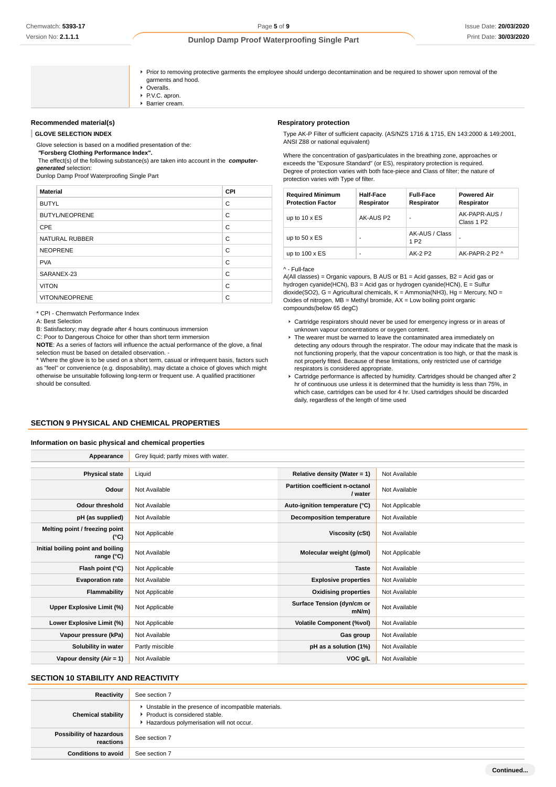### Issue Date: **20/03/2020** Print Date: **30/03/2020**

### **Dunlop Damp Proof Waterproofing Single Part**

- Prior to removing protective garments the employee should undergo decontamination and be required to shower upon removal of the garments and hood. ▶ Overalls. PVC. apron.
	- **Barrier cream.**

### **Recommended material(s)**

**GLOVE SELECTION INDEX**

Glove selection is based on a modified presentation of the:

 **"Forsberg Clothing Performance Index".**

 The effect(s) of the following substance(s) are taken into account in the **computergenerated** selection:

Dunlop Damp Proof Waterproofing Single Part

| <b>Material</b>       | <b>CPI</b> |
|-----------------------|------------|
| <b>BUTYL</b>          | C          |
| <b>BUTYL/NEOPRENE</b> | C          |
| <b>CPE</b>            | C          |
| <b>NATURAL RUBBER</b> | C          |
| <b>NEOPRENE</b>       | C          |
| <b>PVA</b>            | C          |
| SARANEX-23            | C          |
| <b>VITON</b>          | C          |
| <b>VITON/NEOPRENE</b> | C          |

\* CPI - Chemwatch Performance Index

A: Best Selection

B: Satisfactory; may degrade after 4 hours continuous immersion

C: Poor to Dangerous Choice for other than short term immersion

**NOTE**: As a series of factors will influence the actual performance of the glove, a final selection must be based on detailed observation. -

\* Where the glove is to be used on a short term, casual or infrequent basis, factors such as "feel" or convenience (e.g. disposability), may dictate a choice of gloves which might otherwise be unsuitable following long-term or frequent use. A qualified practitioner should be consulted.

#### **Respiratory protection**

Type AK-P Filter of sufficient capacity. (AS/NZS 1716 & 1715, EN 143:2000 & 149:2001, ANSI Z88 or national equivalent)

Where the concentration of gas/particulates in the breathing zone, approaches or exceeds the "Exposure Standard" (or ES), respiratory protection is required. Degree of protection varies with both face-piece and Class of filter; the nature of protection varies with Type of filter.

| <b>Required Minimum</b><br><b>Protection Factor</b> | <b>Half-Face</b><br>Respirator | <b>Full-Face</b><br>Respirator     | <b>Powered Air</b><br>Respirator        |
|-----------------------------------------------------|--------------------------------|------------------------------------|-----------------------------------------|
| up to $10 \times ES$                                | AK-AUS P2                      | ۰                                  | AK-PAPR-AUS /<br>Class 1 P <sub>2</sub> |
| up to $50 \times ES$                                |                                | AK-AUS / Class<br>1 P <sub>2</sub> |                                         |
| up to $100 \times ES$                               |                                | AK-2 P2                            | AK-PAPR-2 P2 ^                          |

#### ^ - Full-face

A(All classes) = Organic vapours, B AUS or B1 = Acid gasses, B2 = Acid gas or hydrogen cyanide(HCN), B3 = Acid gas or hydrogen cyanide(HCN), E = Sulfur dioxide(SO2), G = Agricultural chemicals, K = Ammonia(NH3), Hg = Mercury, NO = Oxides of nitrogen,  $MB = Methyl$  bromide,  $AX = Low$  boiling point organic compounds(below 65 degC)

- Cartridge respirators should never be used for emergency ingress or in areas of unknown vapour concentrations or oxygen content.
- $\blacktriangleright$  The wearer must be warned to leave the contaminated area immediately on detecting any odours through the respirator. The odour may indicate that the mask is not functioning properly, that the vapour concentration is too high, or that the mask is not properly fitted. Because of these limitations, only restricted use of cartridge respirators is considered appropriate.
- Cartridge performance is affected by humidity. Cartridges should be changed after 2 hr of continuous use unless it is determined that the humidity is less than 75%, in which case, cartridges can be used for 4 hr. Used cartridges should be discarded daily, regardless of the length of time used

### **SECTION 9 PHYSICAL AND CHEMICAL PROPERTIES**

#### **Information on basic physical and chemical properties**

| Appearance                                      | Grey liquid; partly mixes with water. |                                            |                |
|-------------------------------------------------|---------------------------------------|--------------------------------------------|----------------|
|                                                 |                                       |                                            |                |
| <b>Physical state</b>                           | Liquid                                | Relative density (Water = 1)               | Not Available  |
| Odour                                           | Not Available                         | Partition coefficient n-octanol<br>/ water | Not Available  |
| <b>Odour threshold</b>                          | Not Available                         | Auto-ignition temperature (°C)             | Not Applicable |
| pH (as supplied)                                | Not Available                         | <b>Decomposition temperature</b>           | Not Available  |
| Melting point / freezing point<br>(°C)          | Not Applicable                        | Viscosity (cSt)                            | Not Available  |
| Initial boiling point and boiling<br>range (°C) | Not Available                         | Molecular weight (g/mol)                   | Not Applicable |
| Flash point (°C)                                | Not Applicable                        | <b>Taste</b>                               | Not Available  |
| <b>Evaporation rate</b>                         | Not Available                         | <b>Explosive properties</b>                | Not Available  |
| Flammability                                    | Not Applicable                        | <b>Oxidising properties</b>                | Not Available  |
| Upper Explosive Limit (%)                       | Not Applicable                        | Surface Tension (dyn/cm or<br>$mN/m$ )     | Not Available  |
| Lower Explosive Limit (%)                       | Not Applicable                        | <b>Volatile Component (%vol)</b>           | Not Available  |
| Vapour pressure (kPa)                           | Not Available                         | Gas group                                  | Not Available  |
| Solubility in water                             | Partly miscible                       | pH as a solution (1%)                      | Not Available  |
| Vapour density $(Air = 1)$                      | Not Available                         | VOC g/L                                    | Not Available  |

### **SECTION 10 STABILITY AND REACTIVITY**

| Reactivity                            | See section 7                                                                                                                        |
|---------------------------------------|--------------------------------------------------------------------------------------------------------------------------------------|
| <b>Chemical stability</b>             | • Unstable in the presence of incompatible materials.<br>▶ Product is considered stable.<br>Hazardous polymerisation will not occur. |
| Possibility of hazardous<br>reactions | See section 7                                                                                                                        |
| <b>Conditions to avoid</b>            | See section 7                                                                                                                        |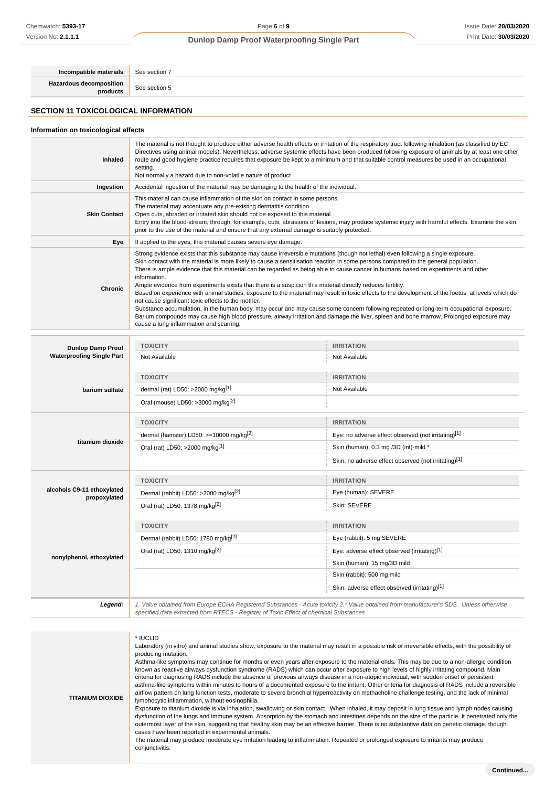**Incompatible materials** See section 7 **Hazardous decomposition**

**products** See section 5

# **SECTION 11 TOXICOLOGICAL INFORMATION**

### **Information on toxicological effects**

| <b>Inhaled</b>                                               | The material is not thought to produce either adverse health effects or irritation of the respiratory tract following inhalation (as classified by EC<br>Directives using animal models). Nevertheless, adverse systemic effects have been produced following exposure of animals by at least one other<br>route and good hygiene practice requires that exposure be kept to a minimum and that suitable control measures be used in an occupational<br>setting.<br>Not normally a hazard due to non-volatile nature of product                                                                                                                                                                                                                                                                                                                                                                                                                                                                                                                                                        |                                                                                                                                                   |  |  |  |
|--------------------------------------------------------------|----------------------------------------------------------------------------------------------------------------------------------------------------------------------------------------------------------------------------------------------------------------------------------------------------------------------------------------------------------------------------------------------------------------------------------------------------------------------------------------------------------------------------------------------------------------------------------------------------------------------------------------------------------------------------------------------------------------------------------------------------------------------------------------------------------------------------------------------------------------------------------------------------------------------------------------------------------------------------------------------------------------------------------------------------------------------------------------|---------------------------------------------------------------------------------------------------------------------------------------------------|--|--|--|
| Ingestion                                                    | Accidental ingestion of the material may be damaging to the health of the individual.                                                                                                                                                                                                                                                                                                                                                                                                                                                                                                                                                                                                                                                                                                                                                                                                                                                                                                                                                                                                  |                                                                                                                                                   |  |  |  |
| <b>Skin Contact</b>                                          | This material can cause inflammation of the skin on contact in some persons.<br>The material may accentuate any pre-existing dermatitis condition<br>Open cuts, abraded or irritated skin should not be exposed to this material<br>prior to the use of the material and ensure that any external damage is suitably protected.                                                                                                                                                                                                                                                                                                                                                                                                                                                                                                                                                                                                                                                                                                                                                        | Entry into the blood-stream, through, for example, cuts, abrasions or lesions, may produce systemic injury with harmful effects. Examine the skin |  |  |  |
| Eye                                                          | If applied to the eyes, this material causes severe eye damage.                                                                                                                                                                                                                                                                                                                                                                                                                                                                                                                                                                                                                                                                                                                                                                                                                                                                                                                                                                                                                        |                                                                                                                                                   |  |  |  |
| <b>Chronic</b>                                               | Strong evidence exists that this substance may cause irreversible mutations (though not lethal) even following a single exposure.<br>Skin contact with the material is more likely to cause a sensitisation reaction in some persons compared to the general population.<br>There is ample evidence that this material can be regarded as being able to cause cancer in humans based on experiments and other<br>information.<br>Ample evidence from experiments exists that there is a suspicion this material directly reduces fertility.<br>Based on experience with animal studies, exposure to the material may result in toxic effects to the development of the foetus, at levels which do<br>not cause significant toxic effects to the mother.<br>Substance accumulation, in the human body, may occur and may cause some concern following repeated or long-term occupational exposure.<br>Barium compounds may cause high blood pressure, airway irritation and damage the liver, spleen and bone marrow. Prolonged exposure may<br>cause a lung inflammation and scarring. |                                                                                                                                                   |  |  |  |
|                                                              | <b>TOXICITY</b>                                                                                                                                                                                                                                                                                                                                                                                                                                                                                                                                                                                                                                                                                                                                                                                                                                                                                                                                                                                                                                                                        | <b>IRRITATION</b>                                                                                                                                 |  |  |  |
| <b>Dunlop Damp Proof</b><br><b>Waterproofing Single Part</b> | Not Available                                                                                                                                                                                                                                                                                                                                                                                                                                                                                                                                                                                                                                                                                                                                                                                                                                                                                                                                                                                                                                                                          | Not Available                                                                                                                                     |  |  |  |
| barium sulfate                                               | <b>TOXICITY</b><br>dermal (rat) LD50: >2000 mg/kg <sup>[1]</sup><br>Oral (mouse) LD50: >3000 mg/kg <sup>[2]</sup>                                                                                                                                                                                                                                                                                                                                                                                                                                                                                                                                                                                                                                                                                                                                                                                                                                                                                                                                                                      | <b>IRRITATION</b><br>Not Available                                                                                                                |  |  |  |
|                                                              | <b>TOXICITY</b>                                                                                                                                                                                                                                                                                                                                                                                                                                                                                                                                                                                                                                                                                                                                                                                                                                                                                                                                                                                                                                                                        | <b>IRRITATION</b>                                                                                                                                 |  |  |  |
|                                                              | dermal (hamster) LD50: >=10000 mg/kg <sup>[2]</sup>                                                                                                                                                                                                                                                                                                                                                                                                                                                                                                                                                                                                                                                                                                                                                                                                                                                                                                                                                                                                                                    | Eye: no adverse effect observed (not irritating)[1]                                                                                               |  |  |  |
| titanium dioxide                                             | Oral (rat) LD50: >2000 mg/kg[1]                                                                                                                                                                                                                                                                                                                                                                                                                                                                                                                                                                                                                                                                                                                                                                                                                                                                                                                                                                                                                                                        | Skin (human): 0.3 mg /3D (int)-mild *                                                                                                             |  |  |  |
|                                                              |                                                                                                                                                                                                                                                                                                                                                                                                                                                                                                                                                                                                                                                                                                                                                                                                                                                                                                                                                                                                                                                                                        | Skin: no adverse effect observed (not irritating)[1]                                                                                              |  |  |  |
|                                                              | <b>TOXICITY</b>                                                                                                                                                                                                                                                                                                                                                                                                                                                                                                                                                                                                                                                                                                                                                                                                                                                                                                                                                                                                                                                                        | <b>IRRITATION</b>                                                                                                                                 |  |  |  |
| alcohols C9-11 ethoxylated                                   | Dermal (rabbit) LD50: >2000 mg/kg <sup>[2]</sup>                                                                                                                                                                                                                                                                                                                                                                                                                                                                                                                                                                                                                                                                                                                                                                                                                                                                                                                                                                                                                                       | Eye (human): SEVERE                                                                                                                               |  |  |  |
| propoxylated                                                 | Oral (rat) LD50: 1378 mg/kg <sup>[2]</sup>                                                                                                                                                                                                                                                                                                                                                                                                                                                                                                                                                                                                                                                                                                                                                                                                                                                                                                                                                                                                                                             | Skin: SEVERE                                                                                                                                      |  |  |  |
|                                                              | <b>TOXICITY</b>                                                                                                                                                                                                                                                                                                                                                                                                                                                                                                                                                                                                                                                                                                                                                                                                                                                                                                                                                                                                                                                                        | <b>IRRITATION</b>                                                                                                                                 |  |  |  |
|                                                              | Dermal (rabbit) LD50: 1780 mg/kg <sup>[2]</sup>                                                                                                                                                                                                                                                                                                                                                                                                                                                                                                                                                                                                                                                                                                                                                                                                                                                                                                                                                                                                                                        | Eye (rabbit): 5 mg SEVERE                                                                                                                         |  |  |  |
|                                                              | Oral (rat) LD50: 1310 mg/kg <sup>[2]</sup>                                                                                                                                                                                                                                                                                                                                                                                                                                                                                                                                                                                                                                                                                                                                                                                                                                                                                                                                                                                                                                             | Eye: adverse effect observed (irritating)[1]                                                                                                      |  |  |  |
| nonylphenol, ethoxylated                                     |                                                                                                                                                                                                                                                                                                                                                                                                                                                                                                                                                                                                                                                                                                                                                                                                                                                                                                                                                                                                                                                                                        | Skin (human): 15 mg/3D mild                                                                                                                       |  |  |  |
|                                                              |                                                                                                                                                                                                                                                                                                                                                                                                                                                                                                                                                                                                                                                                                                                                                                                                                                                                                                                                                                                                                                                                                        | Skin (rabbit): 500 mg mild                                                                                                                        |  |  |  |
|                                                              |                                                                                                                                                                                                                                                                                                                                                                                                                                                                                                                                                                                                                                                                                                                                                                                                                                                                                                                                                                                                                                                                                        | Skin: adverse effect observed (irritating)[1]                                                                                                     |  |  |  |

**Legend:** 1. Value obtained from Europe ECHA Registered Substances - Acute toxicity 2.\* Value obtained from manufacturer's SDS. Unless otherwise specified data extracted from RTECS - Register of Toxic Effect of chemical Substances

**TITANIUM DIOXIDE** \* IUCLID Laboratory (in vitro) and animal studies show, exposure to the material may result in a possible risk of irreversible effects, with the possibility of producing mutation. Asthma-like symptoms may continue for months or even years after exposure to the material ends. This may be due to a non-allergic condition known as reactive airways dysfunction syndrome (RADS) which can occur after exposure to high levels of highly irritating compound. Main criteria for diagnosing RADS include the absence of previous airways disease in a non-atopic individual, with sudden onset of persistent asthma-like symptoms within minutes to hours of a documented exposure to the irritant. Other criteria for diagnosis of RADS include a reversible airflow pattern on lung function tests, moderate to severe bronchial hyperreactivity on methacholine challenge testing, and the lack of minimal lymphocytic inflammation, without eosinophilia. Exposure to titanium dioxide is via inhalation, swallowing or skin contact. When inhaled, it may deposit in lung tissue and lymph nodes causing dysfunction of the lungs and immune system. Absorption by the stomach and intestines depends on the size of the particle. It penetrated only the outermost layer of the skin, suggesting that healthy skin may be an effective barrier. There is no substantive data on genetic damage, though cases have been reported in experimental animals. The material may produce moderate eye irritation leading to inflammation. Repeated or prolonged exposure to irritants may produce conjunctivitis.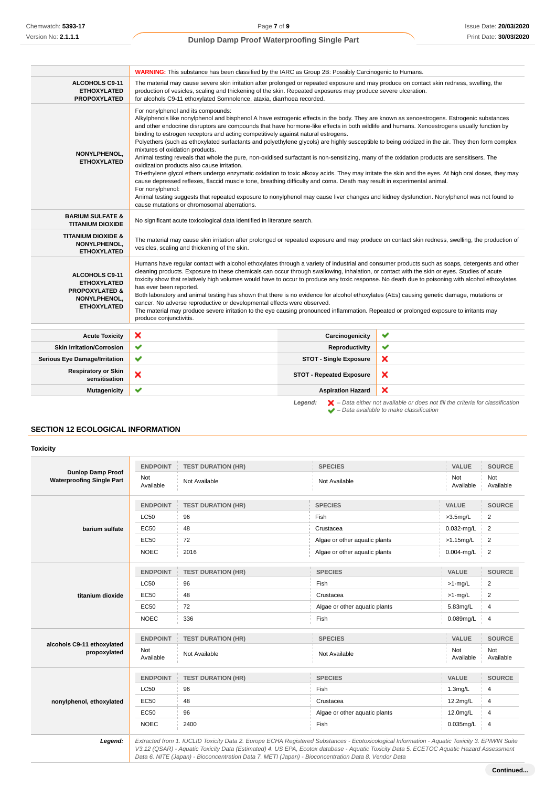|                                                                                                                | <b>WARNING:</b> This substance has been classified by the IARC as Group 2B: Possibly Carcinogenic to Humans.                                                                                                                                                                                                                                                                                                                                                                                                                                                                                                                                                                                                                                                                                                                                                                                                                                                                                                                                                                                                                                                                                                                                                                                               |                                 |                                                                                                    |  |  |
|----------------------------------------------------------------------------------------------------------------|------------------------------------------------------------------------------------------------------------------------------------------------------------------------------------------------------------------------------------------------------------------------------------------------------------------------------------------------------------------------------------------------------------------------------------------------------------------------------------------------------------------------------------------------------------------------------------------------------------------------------------------------------------------------------------------------------------------------------------------------------------------------------------------------------------------------------------------------------------------------------------------------------------------------------------------------------------------------------------------------------------------------------------------------------------------------------------------------------------------------------------------------------------------------------------------------------------------------------------------------------------------------------------------------------------|---------------------------------|----------------------------------------------------------------------------------------------------|--|--|
| ALCOHOLS C9-11<br><b>ETHOXYLATED</b><br><b>PROPOXYLATED</b>                                                    | The material may cause severe skin irritation after prolonged or repeated exposure and may produce on contact skin redness, swelling, the<br>production of vesicles, scaling and thickening of the skin. Repeated exposures may produce severe ulceration.<br>for alcohols C9-11 ethoxylated Somnolence, ataxia, diarrhoea recorded.                                                                                                                                                                                                                                                                                                                                                                                                                                                                                                                                                                                                                                                                                                                                                                                                                                                                                                                                                                       |                                 |                                                                                                    |  |  |
| NONYLPHENOL,<br><b>ETHOXYLATED</b>                                                                             | For nonylphenol and its compounds:<br>Alkylphenols like nonylphenol and bisphenol A have estrogenic effects in the body. They are known as xenoestrogens. Estrogenic substances<br>and other endocrine disruptors are compounds that have hormone-like effects in both wildlife and humans. Xenoestrogens usually function by<br>binding to estrogen receptors and acting competitively against natural estrogens.<br>Polyethers (such as ethoxylated surfactants and polyethylene glycols) are highly susceptible to being oxidized in the air. They then form complex<br>mixtures of oxidation products.<br>Animal testing reveals that whole the pure, non-oxidised surfactant is non-sensitizing, many of the oxidation products are sensitisers. The<br>oxidization products also cause irritation.<br>Tri-ethylene glycol ethers undergo enzymatic oxidation to toxic alkoxy acids. They may irritate the skin and the eyes. At high oral doses, they may<br>cause depressed reflexes, flaccid muscle tone, breathing difficulty and coma. Death may result in experimental animal.<br>For nonylphenol:<br>Animal testing suggests that repeated exposure to nonylphenol may cause liver changes and kidney dysfunction. Nonylphenol was not found to<br>cause mutations or chromosomal aberrations. |                                 |                                                                                                    |  |  |
| <b>BARIUM SULFATE &amp;</b><br><b>TITANIUM DIOXIDE</b>                                                         | No significant acute toxicological data identified in literature search.                                                                                                                                                                                                                                                                                                                                                                                                                                                                                                                                                                                                                                                                                                                                                                                                                                                                                                                                                                                                                                                                                                                                                                                                                                   |                                 |                                                                                                    |  |  |
| TITANIUM DIOXIDE &<br>NONYLPHENOL,<br><b>ETHOXYLATED</b>                                                       | The material may cause skin irritation after prolonged or repeated exposure and may produce on contact skin redness, swelling, the production of<br>vesicles, scaling and thickening of the skin.                                                                                                                                                                                                                                                                                                                                                                                                                                                                                                                                                                                                                                                                                                                                                                                                                                                                                                                                                                                                                                                                                                          |                                 |                                                                                                    |  |  |
| <b>ALCOHOLS C9-11</b><br><b>ETHOXYLATED</b><br><b>PROPOXYLATED &amp;</b><br>NONYLPHENOL,<br><b>ETHOXYLATED</b> | Humans have regular contact with alcohol ethoxylates through a variety of industrial and consumer products such as soaps, detergents and other<br>cleaning products. Exposure to these chemicals can occur through swallowing, inhalation, or contact with the skin or eyes. Studies of acute<br>toxicity show that relatively high volumes would have to occur to produce any toxic response. No death due to poisoning with alcohol ethoxylates<br>has ever been reported.<br>Both laboratory and animal testing has shown that there is no evidence for alcohol ethoxylates (AEs) causing genetic damage, mutations or<br>cancer. No adverse reproductive or developmental effects were observed.<br>The material may produce severe irritation to the eye causing pronounced inflammation. Repeated or prolonged exposure to irritants may<br>produce conjunctivitis.                                                                                                                                                                                                                                                                                                                                                                                                                                  |                                 |                                                                                                    |  |  |
| <b>Acute Toxicity</b>                                                                                          | ×                                                                                                                                                                                                                                                                                                                                                                                                                                                                                                                                                                                                                                                                                                                                                                                                                                                                                                                                                                                                                                                                                                                                                                                                                                                                                                          | Carcinogenicity                 | ✔                                                                                                  |  |  |
| <b>Skin Irritation/Corrosion</b>                                                                               | ✔                                                                                                                                                                                                                                                                                                                                                                                                                                                                                                                                                                                                                                                                                                                                                                                                                                                                                                                                                                                                                                                                                                                                                                                                                                                                                                          | Reproductivity                  | ✔                                                                                                  |  |  |
| <b>Serious Eye Damage/Irritation</b>                                                                           | ✔                                                                                                                                                                                                                                                                                                                                                                                                                                                                                                                                                                                                                                                                                                                                                                                                                                                                                                                                                                                                                                                                                                                                                                                                                                                                                                          | <b>STOT - Single Exposure</b>   | ×                                                                                                  |  |  |
| <b>Respiratory or Skin</b><br>sensitisation                                                                    | ×                                                                                                                                                                                                                                                                                                                                                                                                                                                                                                                                                                                                                                                                                                                                                                                                                                                                                                                                                                                                                                                                                                                                                                                                                                                                                                          | <b>STOT - Repeated Exposure</b> | ×                                                                                                  |  |  |
| <b>Mutagenicity</b>                                                                                            | ✔                                                                                                                                                                                                                                                                                                                                                                                                                                                                                                                                                                                                                                                                                                                                                                                                                                                                                                                                                                                                                                                                                                                                                                                                                                                                                                          | <b>Aspiration Hazard</b>        | ×                                                                                                  |  |  |
|                                                                                                                |                                                                                                                                                                                                                                                                                                                                                                                                                                                                                                                                                                                                                                                                                                                                                                                                                                                                                                                                                                                                                                                                                                                                                                                                                                                                                                            | Legend:                         | $\blacktriangleright$ - Data either not available or does not fill the criteria for classification |  |  |

 $\blacktriangleright$  – Data available to make classification

### **SECTION 12 ECOLOGICAL INFORMATION**

### **Toxicity**

| <b>Dunlop Damp Proof</b>                   | <b>ENDPOINT</b>         | <b>TEST DURATION (HR)</b> | <b>SPECIES</b>                | VALUE                | <b>SOURCE</b>    |
|--------------------------------------------|-------------------------|---------------------------|-------------------------------|----------------------|------------------|
| <b>Waterproofing Single Part</b>           | Not<br>Available        | Not Available             | Not Available                 | Not<br>Available     | Not<br>Available |
|                                            | <b>ENDPOINT</b>         | <b>TEST DURATION (HR)</b> | <b>SPECIES</b>                | VALUE                | <b>SOURCE</b>    |
|                                            | <b>LC50</b>             | 96                        | Fish                          | $>3.5$ mg/L          | $\overline{2}$   |
| barium sulfate                             | <b>EC50</b>             | 48                        | Crustacea                     | $0.032$ -mg/L        | 2                |
|                                            | <b>EC50</b>             | 72                        | Algae or other aquatic plants | $>1.15$ mg/L         | $\overline{2}$   |
|                                            | <b>NOEC</b>             | 2016                      | Algae or other aquatic plants | $0.004$ -mg/L        | $\overline{2}$   |
|                                            | <b>ENDPOINT</b>         | <b>TEST DURATION (HR)</b> | <b>SPECIES</b>                | VALUE                | <b>SOURCE</b>    |
|                                            | <b>LC50</b>             | 96                        | Fish                          | $>1$ -mg/L           | $\overline{2}$   |
| titanium dioxide                           | <b>EC50</b>             | 48                        | Crustacea                     | $>1$ -mg/L           | 2                |
|                                            | <b>EC50</b>             | 72                        | Algae or other aquatic plants | 5.83mg/L             | 4                |
|                                            | <b>NOEC</b>             | 336                       | Fish                          | 0.089mg/L            | 4                |
| alcohols C9-11 ethoxylated<br>propoxylated | <b>ENDPOINT</b>         | <b>TEST DURATION (HR)</b> | <b>SPECIES</b>                | VALUE                | <b>SOURCE</b>    |
|                                            | <b>Not</b><br>Available | Not Available             | Not Available                 | Not<br>Available     | Not<br>Available |
|                                            | <b>ENDPOINT</b>         | <b>TEST DURATION (HR)</b> | <b>SPECIES</b>                | <b>VALUE</b>         | <b>SOURCE</b>    |
|                                            | <b>LC50</b>             | 96                        | Fish                          | 1.3 <sub>m</sub> g/L | 4                |
| nonylphenol, ethoxylated                   | <b>EC50</b>             | 48                        | Crustacea                     | 12.2mg/L             | 4                |
|                                            | <b>EC50</b>             | 96                        | Algae or other aquatic plants | 12.0mg/L             | 4                |
|                                            | <b>NOEC</b>             | 2400                      | Fish                          | $0.035$ mg/L         | $\overline{4}$   |

Data 6. NITE (Japan) - Bioconcentration Data 7. METI (Japan) - Bioconcentration Data 8. Vendor Data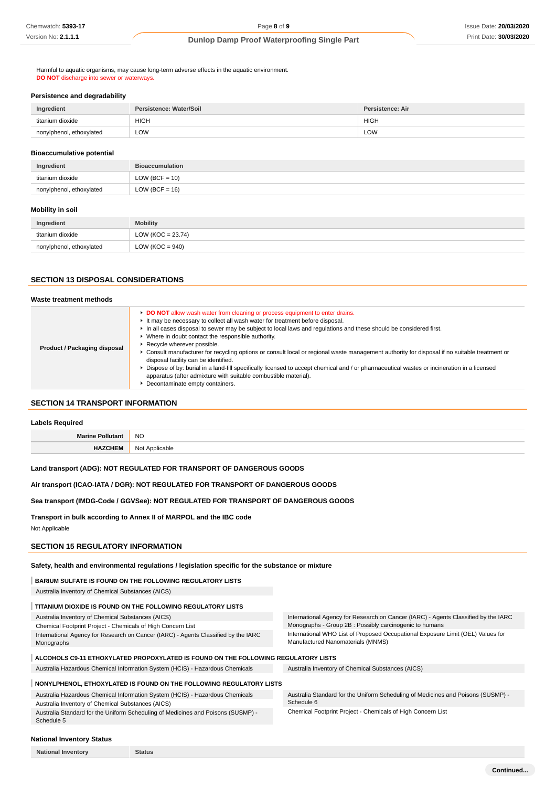Harmful to aquatic organisms, may cause long-term adverse effects in the aquatic environment. **DO NOT** discharge into sewer or waterways

#### **Persistence and degradability**

| Ingredient               | Persistence: Water/Soil | Persistence: Air |
|--------------------------|-------------------------|------------------|
| titanium dioxide         | <b>HIGH</b>             | <b>HIGH</b>      |
| nonylphenol, ethoxylated | LOW                     | LOW              |

#### **Bioaccumulative potential**

| Ingredient               | <b>Bioaccumulation</b> |
|--------------------------|------------------------|
| titanium dioxide         | $LOW (BCF = 10)$       |
| nonylphenol, ethoxylated | $LOW (BCF = 16)$       |

### **Mobility in soil**

| Ingredient               | <b>Mobility</b>      |
|--------------------------|----------------------|
| titanium dioxide         | LOW (KOC = $23.74$ ) |
| nonylphenol, ethoxylated | LOW ( $KOC = 940$ )  |

### **SECTION 13 DISPOSAL CONSIDERATIONS**

#### **Waste treatment methods**

| Product / Packaging disposal | DO NOT allow wash water from cleaning or process equipment to enter drains.<br>It may be necessary to collect all wash water for treatment before disposal.<br>In all cases disposal to sewer may be subject to local laws and regulations and these should be considered first.<br>• Where in doubt contact the responsible authority.<br>▶ Recycle wherever possible.<br>► Consult manufacturer for recycling options or consult local or regional waste management authority for disposal if no suitable treatment or<br>disposal facility can be identified.<br>► Dispose of by: burial in a land-fill specifically licensed to accept chemical and / or pharmaceutical wastes or incineration in a licensed<br>apparatus (after admixture with suitable combustible material).<br>• Decontaminate empty containers. |
|------------------------------|--------------------------------------------------------------------------------------------------------------------------------------------------------------------------------------------------------------------------------------------------------------------------------------------------------------------------------------------------------------------------------------------------------------------------------------------------------------------------------------------------------------------------------------------------------------------------------------------------------------------------------------------------------------------------------------------------------------------------------------------------------------------------------------------------------------------------|
|------------------------------|--------------------------------------------------------------------------------------------------------------------------------------------------------------------------------------------------------------------------------------------------------------------------------------------------------------------------------------------------------------------------------------------------------------------------------------------------------------------------------------------------------------------------------------------------------------------------------------------------------------------------------------------------------------------------------------------------------------------------------------------------------------------------------------------------------------------------|

### **SECTION 14 TRANSPORT INFORMATION**

#### **Labels Required**

| --   | <b>NO</b>    |
|------|--------------|
| - 19 | No<br>.<br>. |

### **Land transport (ADG): NOT REGULATED FOR TRANSPORT OF DANGEROUS GOODS**

**Air transport (ICAO-IATA / DGR): NOT REGULATED FOR TRANSPORT OF DANGEROUS GOODS**

#### **Sea transport (IMDG-Code / GGVSee): NOT REGULATED FOR TRANSPORT OF DANGEROUS GOODS**

**Transport in bulk according to Annex II of MARPOL and the IBC code**

Not Applicable

### **SECTION 15 REGULATORY INFORMATION**

**Safety, health and environmental regulations / legislation specific for the substance or mixture**

### **BARIUM SULFATE IS FOUND ON THE FOLLOWING REGULATORY LISTS**

Australia Inventory of Chemical Substances (AICS)

### **TITANIUM DIOXIDE IS FOUND ON THE FOLLOWING REGULATORY LISTS**

|    |  |  |    |  | Australia Inventory of Chemical Substances (AICS) |  |
|----|--|--|----|--|---------------------------------------------------|--|
| -- |  |  | -- |  |                                                   |  |

Chemical Footprint Project - Chemicals of High Concern List International Agency for Research on Cancer (IARC) - Agents Classified by the IARC

Monographs

International Agency for Research on Cancer (IARC) - Agents Classified by the IARC Monographs - Group 2B : Possibly carcinogenic to humans International WHO List of Proposed Occupational Exposure Limit (OEL) Values for Manufactured Nanomaterials (MNMS)

# **ALCOHOLS C9-11 ETHOXYLATED PROPOXYLATED IS FOUND ON THE FOLLOWING REGULATORY LISTS**

Australia Hazardous Chemical Information System (HCIS) - Hazardous Chemicals Australia Inventory of Chemical Substances (AICS)

### **NONYLPHENOL, ETHOXYLATED IS FOUND ON THE FOLLOWING REGULATORY LISTS**

Australia Hazardous Chemical Information System (HCIS) - Hazardous Chemicals Australia Inventory of Chemical Substances (AICS)

Australia Standard for the Uniform Scheduling of Medicines and Poisons (SUSMP) - Schedule 5

Australia Standard for the Uniform Scheduling of Medicines and Poisons (SUSMP) -

Schedule 6 Chemical Footprint Project - Chemicals of High Concern List

### **National Inventory Status**

**National Inventory Status**